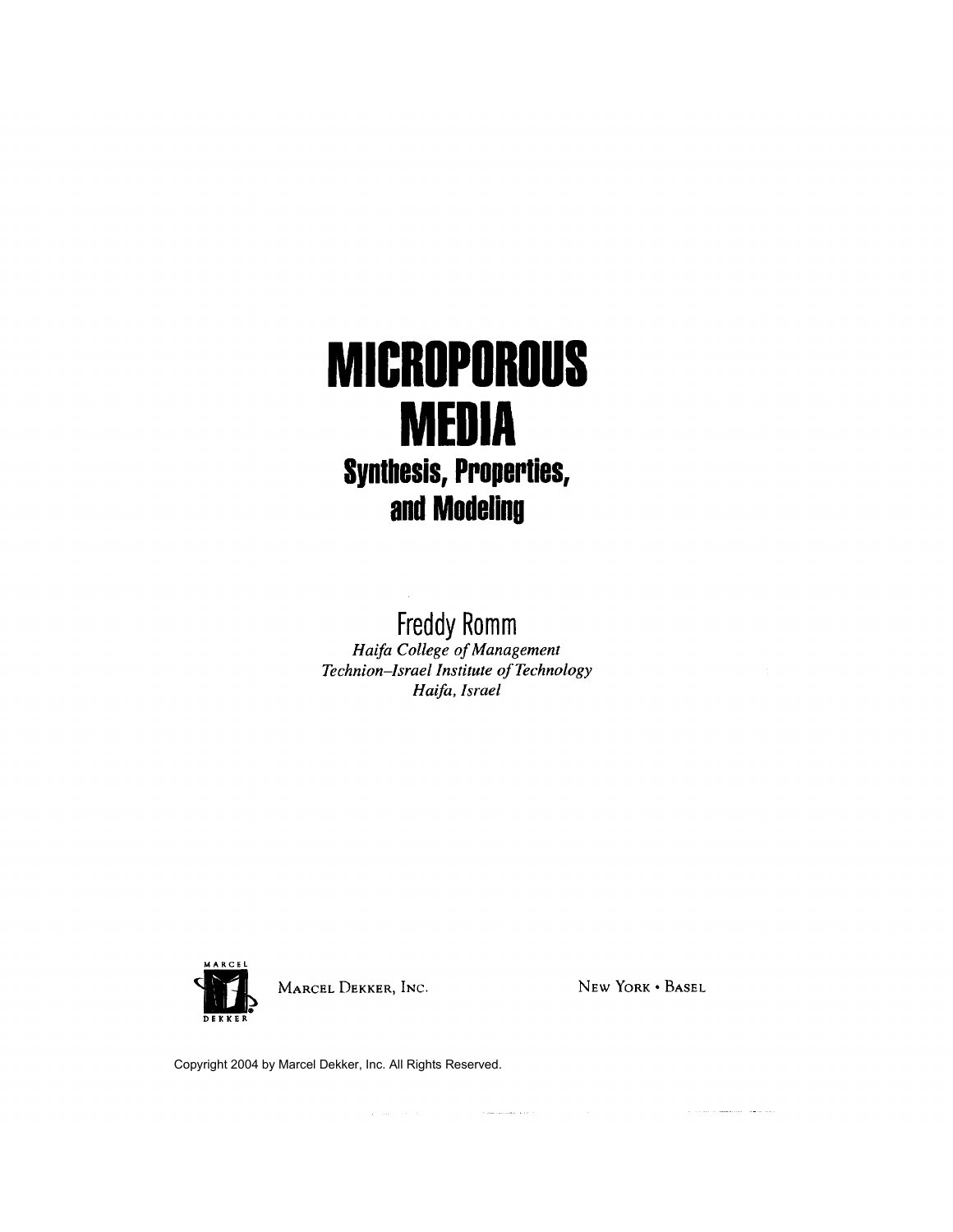# <span id="page-0-0"></span>**MICROPOROUS MEDIA Synthesis, Properties, and Modeling**

# Freddy Romm

*Haifa College of Management Technion-Israel Institute of Technology Haifa, Israel* 



**MARCEL DEKKER, INC.** NEW YORK . BASEL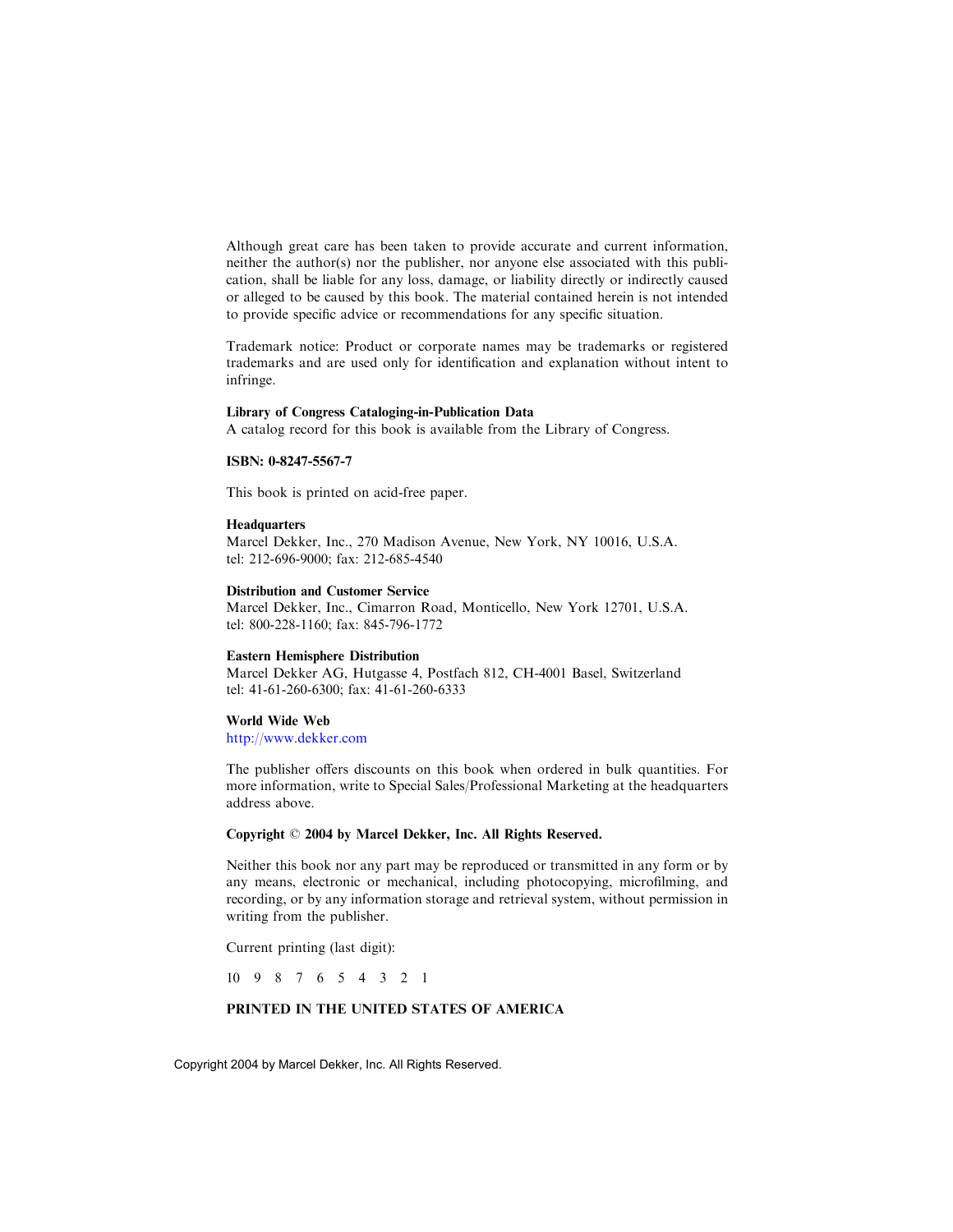Although great care has been taken to provide accurate and current information, neither the author(s) nor the publisher, nor anyone else associated with this publication, shall be liable for any loss, damage, or liability directly or indirectly caused or alleged to be caused by this book. The material contained herein is not intended to provide specific advice or recommendations for any specific situation.

Trademark notice: Product or corporate names may be trademarks or registered trademarks and are used only for identification and explanation without intent to infringe.

#### Library of Congress Cataloging-in-Publication Data

A catalog record for this book is available from the Library of Congress.

#### ISBN: 0-8247-5567-7

This book is printed on acid-free paper.

#### **Headquarters**

Marcel Dekker, Inc., 270 Madison Avenue, New York, NY 10016, U.S.A. tel: 212-696-9000; fax: 212-685-4540

#### Distribution and Customer Service

Marcel Dekker, Inc., Cimarron Road, Monticello, New York 12701, U.S.A. tel: 800-228-1160; fax: 845-796-1772

#### Eastern Hemisphere Distribution

Marcel Dekker AG, Hutgasse 4, Postfach 812, CH-4001 Basel, Switzerland tel: 41-61-260-6300; fax: 41-61-260-6333

#### World Wide Web

[http://www.dekker.com](www.dekker.com)

The publisher offers discounts on this book when ordered in bulk quantities. For more information, write to Special Sales/Professional Marketing at the headquarters address above.

#### Copyright © 2004 by Marcel Dekker, Inc. All Rights Reserved.

Neither this book nor any part may be reproduced or transmitted in any form or by any means, electronic or mechanical, including photocopying, microfilming, and recording, or by any information storage and retrieval system, without permission in writing from the publisher.

Current printing (last digit):

10 9 8 7 6 5 4 3 2 1

#### PRINTED IN THE UNITED STATES OF AMERICA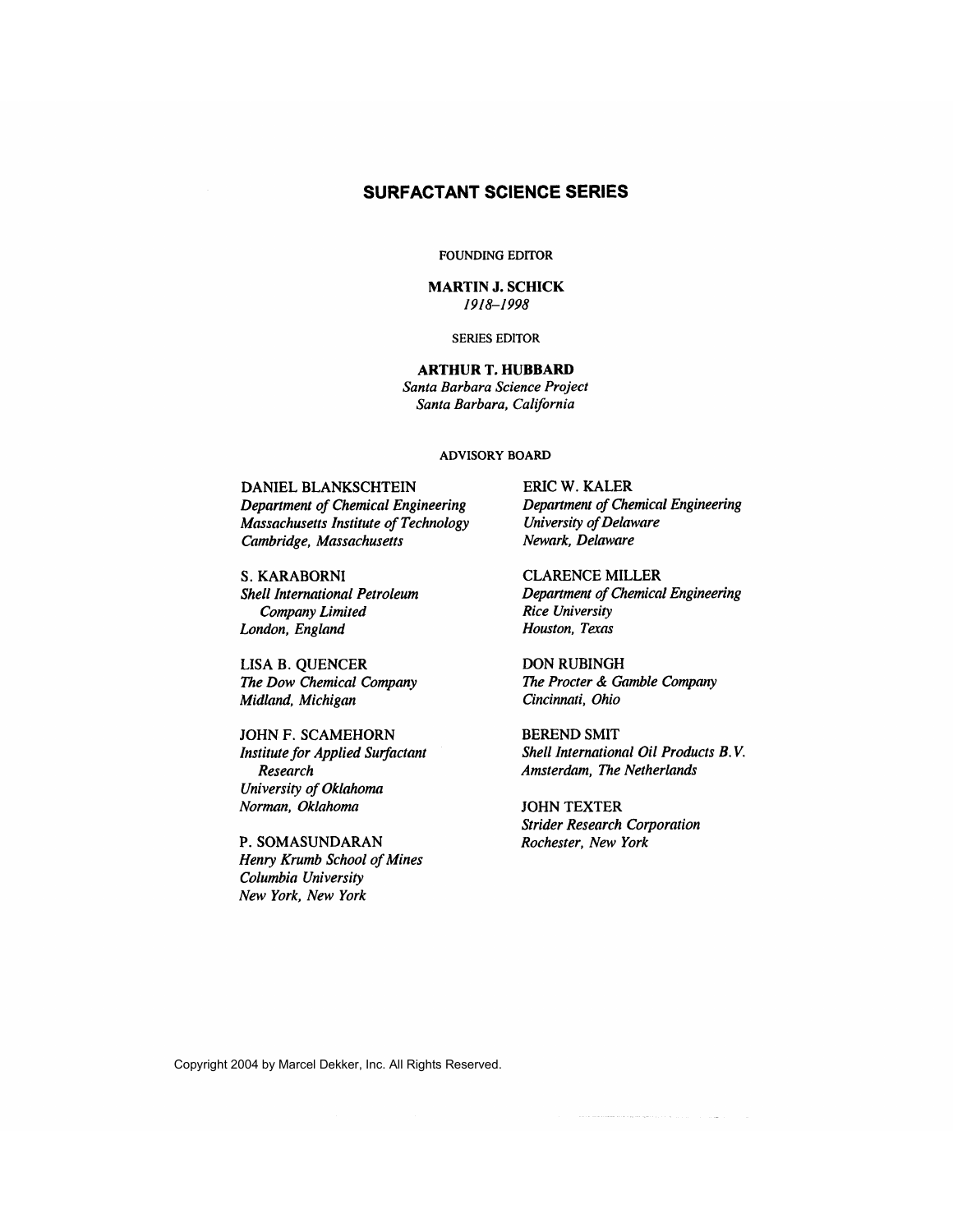#### <span id="page-2-0"></span>**SURFACTANT SCIENCE SERIES**

FOUNDING EDITOR

**MARTIN J. SCHICK**  *1918-1998* 

SERIES EDITOR

**ARTHUR T. HUBBARD** 

*Santa Barbara Science Project Santa Barbara, California* 

**ADVISORY BOARD** 

DANIEL BLANKSCHTEIN ERIC W. KALER *Department* of *Chemical Engineering Massachusetts Institute of Technology Cambridge, Massachusetts* Newark, Delaware

S. KARABORNI *Shell International Petroleum London, England Company Limited* 

LISA B. QUENCER *The Dow Chemical Company Midland, Michigan* 

JOHN F. SCAMEHORN *Institute for Applied Surfactant University of Oklahoma Norman, Oklahoma Research* 

P. SOMASUNDARAN *Henry Krumb School of Mines Columbia University New York, New York* 

*Department of Chemical Engineering University of Delaware* 

CLARENCE MILLER *Department of Chemical Engineering Rice University*  **Houston, Texas** 

DON RUBINGH *The Procter* & *Gimble Company Cincinnati, Ohio* 

BEREND SMIT *Shell International Oil Products B. V. Amsterdam, The Netherlands* 

JOHN TEXTER *Strider Research Corporation Rochester, New York*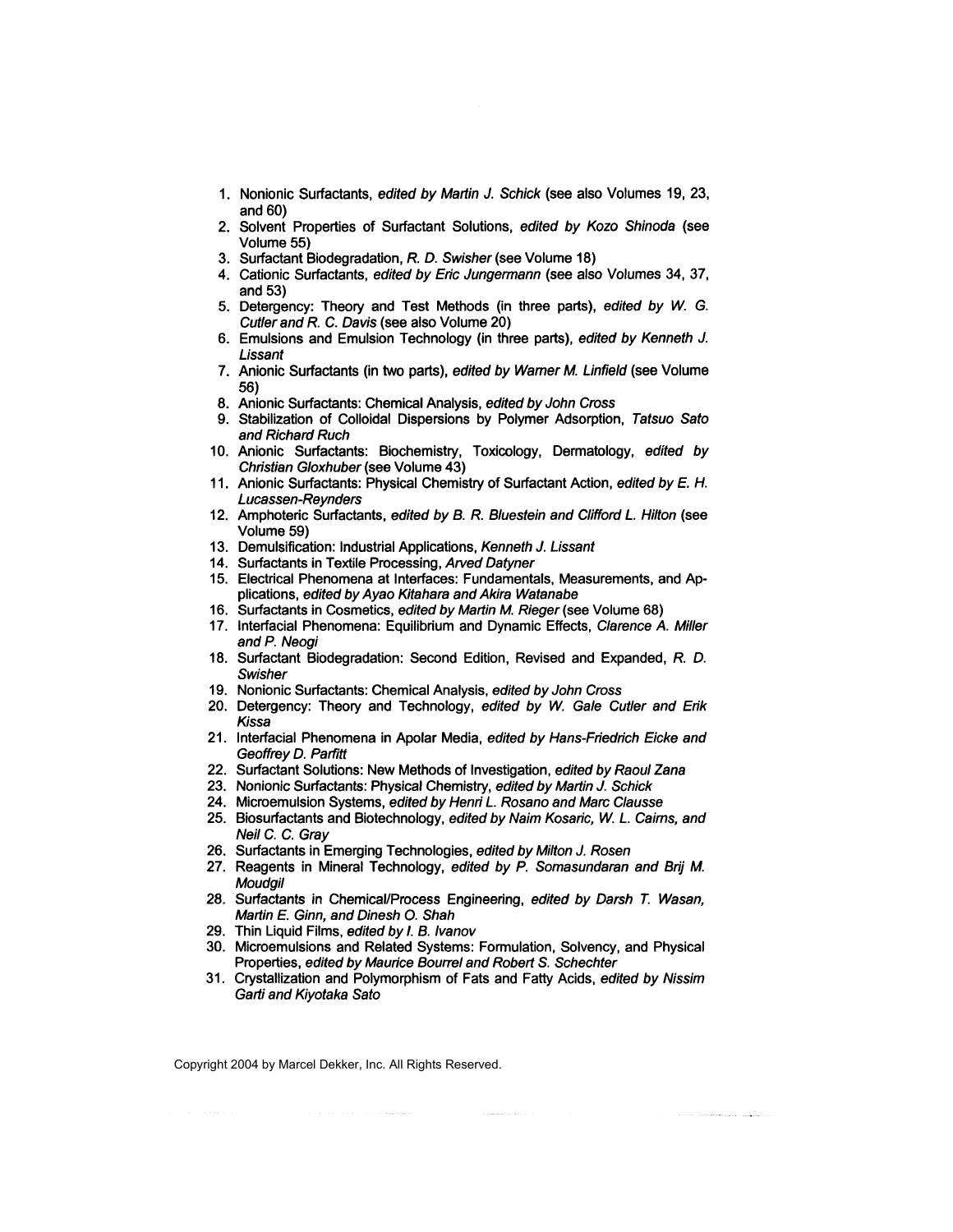- 1. Nonionic Surfactants, *edited by Martin J. Schick* (see also Volumes 19, 23, and 60)
- 2. Solvent Properties of Surfactant Solutions, *edited* by *Kozo Shinoda* (see Volume 55)
- 3. Surfactant Biodegradation, *R. D. Swisher* (see Volume 18)
- 4. Cationic Surfactants, *edited* by *Eric Jungermann* (see also Volumes 34, 37, and 53)
- 5. Detergency: Theory and Test Methods (in three parts), *edited by* W. *G. Cutler and R. C. Davis* (see also Volume 20)
- 6. Emulsions and Emulsion Technology (in three parts), *edited by Kenneth J. Lissant*
- 7. Anionic Surfactants (in two parts), *edited* by *Warner M. Linfield* (see Volume 56)
- 8. Anionic Surfactants: Chemical Analysis, *edited by John Cross*
- *9.* Stabilization *of* Colloidal Dispersions by Polymer Adsorption, *Tatsuo Sat0 and Richard Ruch*
- 10. Anionic Surfactants: Biochemistry, Toxicology, Dermatology, *edited by Christian Gloxhuber* (see Volume 43)
- 11. Anionic Surfactants: Physical Chemistry of Surfactant Action, *edited by E. H. L ucassen-Reynders*
- 12. Amphoteric Surfactants, *edited by* B. *R. Bluestein and Clifford L. Hilton* (see Volume 59)
- 13. Demulsification: Industrial Applications, *Kenneth J. Lissant*
- 14. Surfactants in Textile Processing, *Awed Datyner*
- 15. Electrical Phenomena at Interfaces: Fundamentals, Measurements, and Applications, *edited by Ayao Kitahara and Akira Watanabe*
- 16. Surfactants in Cosmetics, *edited* by *Martin M. Rieger* (see Volume 68)
- 17. Interfacial Phenomena: Equilibrium and Dynamic Effects, *Clarence A. Miller and P. Neogi*
- 18. Surfactant Biodegradation: Second Edition, Revised and Expanded, *R.* D. *Swisher*
- 19. Nonionic Surfactants: Chemical Analysis, *edited by John Cross*
- 20. Detergency: Theory and Technology, *edited by* W. *Gale Cutler and Erik Kissa*
- 21. Interfacial Phenomena in Apolar Media, *edited by Hans-Friedrich Eicke and Geoffrey D. Parfitt*
- 22. Surfactant Solutions: New Methods of Investigation, *edited by Raoul Zana*
- 23. Nonionic Surfactants: Physical Chemistry, *edited* by *Martin J. Schick*
- 24. Microemulsion Systems, *edited by Henri L. Rosano and Marc Clausse*
- 25. Biosurfactants and Biotechnology, *edited by Naim Kosaric, W. L. Cairns, and Neil C. C. Gray*
- 26. Surfactants in Emerging Technologies, *edited* by *Milton J. Rosen*
- 27. Reagents in Mineral Technology, *edited by P. Somasundaran and Snj M. Moudgil*
- 28. Surfactants in ChemicaVProcess Engineering, *edited by Darsh T. Wasan, Martin E. Ginn, and Dinesh 0. Shah*
- 29. Thin Liquid Films, *edited by 1. B. lvanov*
- *30.* Microemulsions and Related Systems: Formulation, Solvency, and Physical Properties, *edited by Maurice Bourrel and Robert S. Schechter*
- 31. Crystallization and Polymorphism of Fats and Fatty Acids, *edited by Nissim Garti and Kiyotaka Sat0*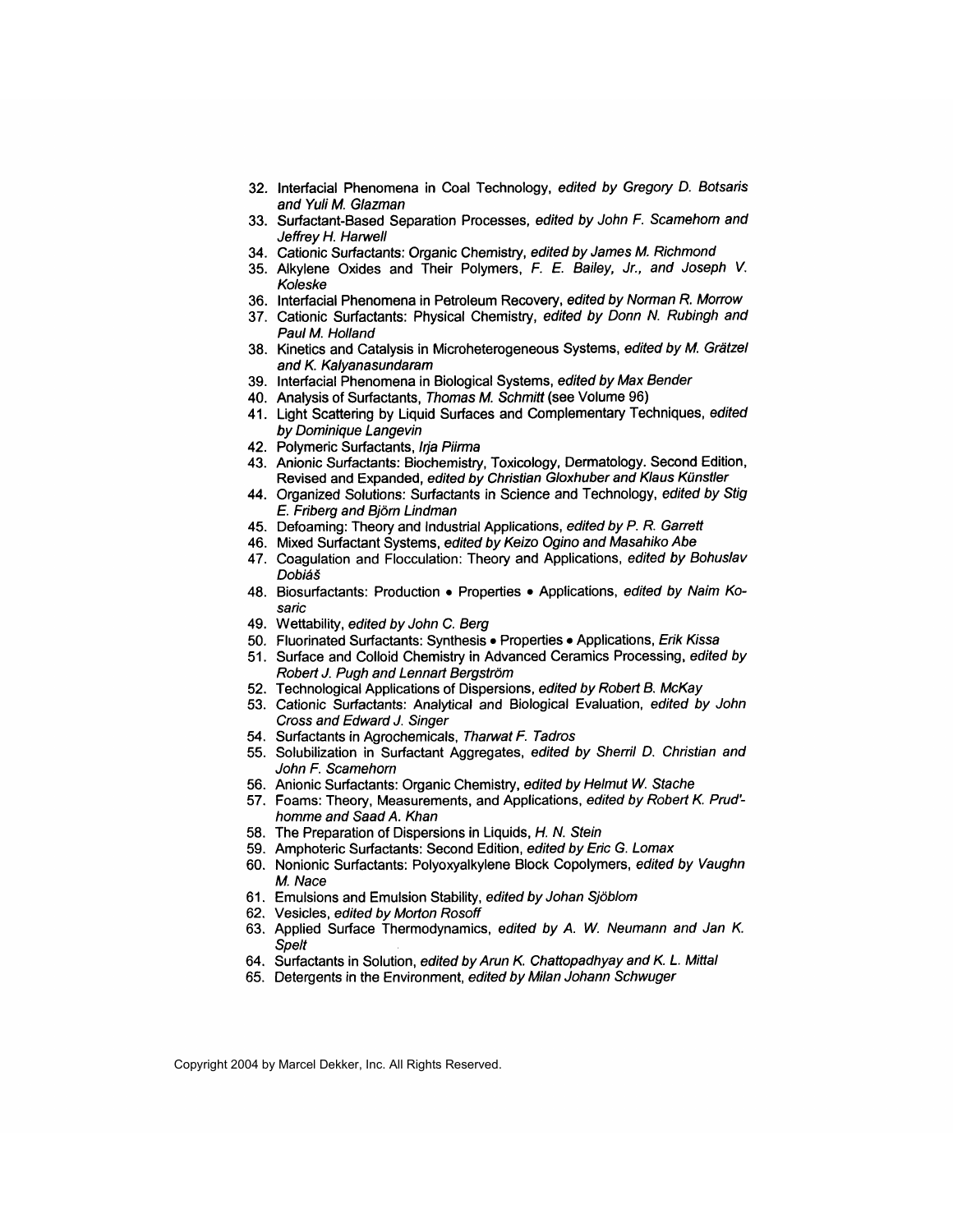- <span id="page-4-0"></span>**32.** Interfacial Phenomena in Coal Technology, *edited by Gregory D. Botsaris and Yuli M. Glazman*
- **33.** Surfactant-Based Separation Processes, *edited by John F. Scamehorn and Jeffrey H. Harwell*
- **34.** Cationic Surfactants: Organic Chemistry, *edited by James M. Richmond*
- **35.** Alkylene Oxides and Their Polymers, *F. E. Bailey, Jr., and Joseph V. Koleske*
- **36.** Interfacial Phenomena in Petroleum Recovery, *edited by Norman R. Morrow*
- **37.** Cationic Surfactants: Physical Chemistry, *edited by Donn N. Rubingh and Paul M. Holland*
- **38.** Kinetics and Catalysis in Microheterogeneous Systems, *edited by M. Grdtzel and K. Kalyanasundaram*
- **39.** Interfacial Phenomena in Biological Systems, *edifed by Max Bender*
- **40.** Analysis *of* Surfactants, *Thomas M. Schmitt* (see Volume **96)**
- **41.** Light Scattering by Liquid Surfaces and Complementary Techniques, *edited by Dominique Langevin*
- **42.** Polymeric Surfactants, *Ida Piirma*
- **43.** Anionic Surfactants: Biochemistry, Toxicology, Dermatology. Second Edition, Revised and Expanded, *edited by Christian Gloxhuber and Klaus Kunstler*
- **44.** Organized Solutions: Surfactants in Science and Technology, *edited by Stig E. Friberg and Bjorn Lindman*
- *45.* Defoaming: Theory and Industrial Applications, *edited by P. R. Garrett*
- **46.** Mixed Surfactant Systems, *edited by Keizo Ogino and Masahiko Abe*
- **47.** Coagulation and Flocculation: Theory and Applications, *edited by Bohuslav DobiaS*
- 48. Biosurfactants: Production · Properties · Applications, *edited by Naim Kosaric*
- **49.** Wettability, *edited by John C. Berg*
- *50.* Fluorinated Surfactants: Synthesis *0* Properties Applications, *Erik Kissa*
- **51.** Surface and Colloid Chemistry in Advanced Ceramics Processing, *edited by Robert J. Pugh and Lennart Bergstrom*
- *52.* Technological Applications of Dispersions, *edited by Robert B. McKay*
- **53.** Cationic Surfactants: Analytical and Biological Evaluation, *edited by John Cross and Edward J. Singer*
- **54.** Surfactants in Agrochemicals, *Tharwat F. Tadros*
- *55.* Solubilization in Surfactant Aggregates, *edited by Sherril D. Christian and John F. Scamehorn*
- **56.** Anionic Surfactants: Organic Chemistry, *edited by Helmut W. Stache*
- *57.* Foams: Theory, Measurements, and Applications, *edited 6y Robert K. Prud' homme and Saad A. Khan*
- **58.** The Preparation of Dispersions in Liquids, *H. N. Stein*
- 59. Amphoteric Surfactants: Second Edition, *edited by Eric G. Lomax*
- **60.** Nonionic Surfactants: Polyoxyalkylene Block Copolymers, *edited by Vaughn M. Nace*
- **61.** Emulsions and Emulsion Stability, *edited by Johan Sjoblom*
- *62.* Vesicles, *edited by Morton Rosoff*
- **63.** Applied Surface Thermodynamics, *edited by A. W. Neumann and Jan K. Spelt*
- **64.** Surfactants in Solution, *edited by Arun K. Chattopadhyay and K. L. Mittal*
- **65.** Detergents *in* the Environment, *edited by Milan Johann Schwuger*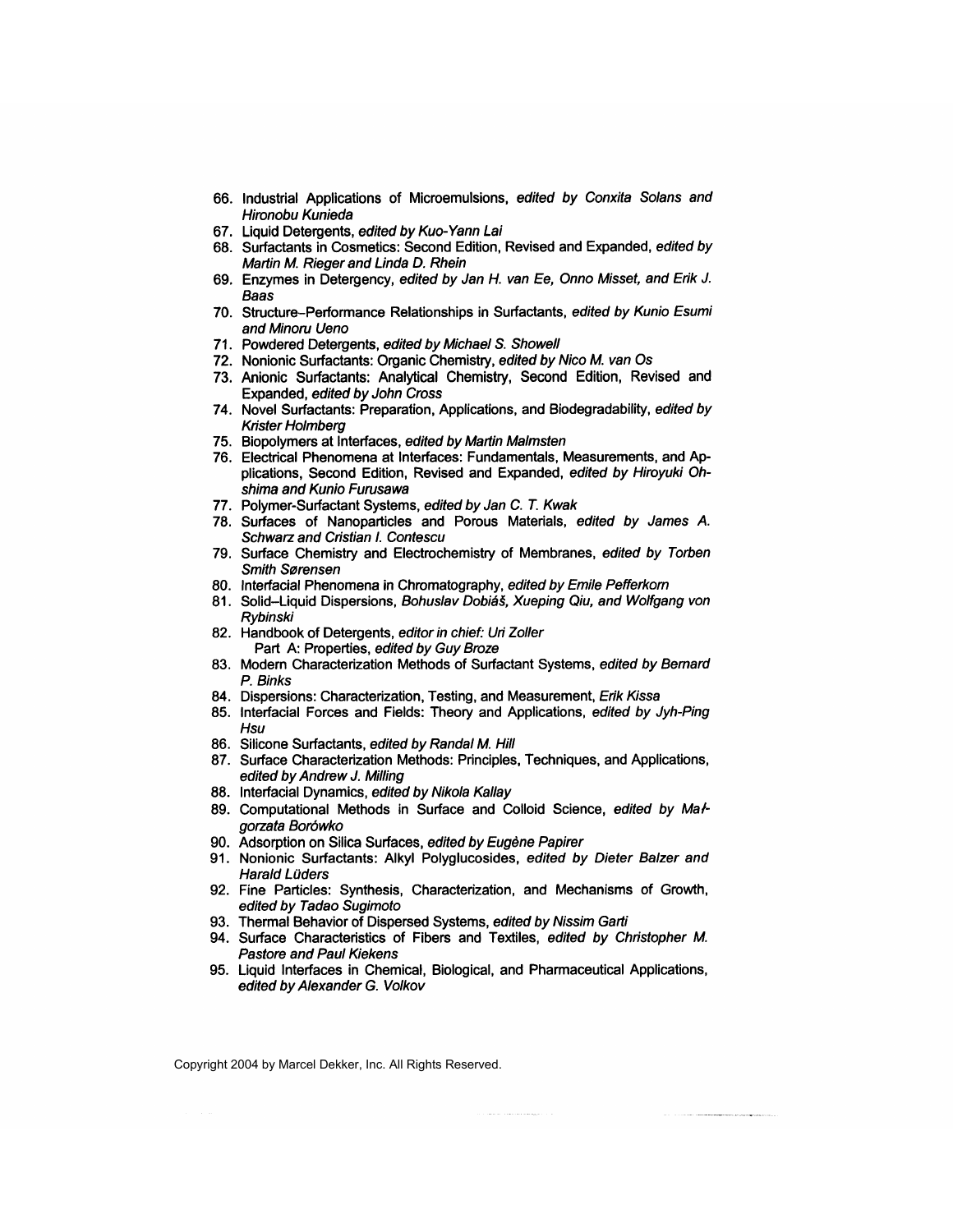- <span id="page-5-0"></span>**66.** Industrial Applications **of** Microemulsions, *edited by Conxita Solans and Hironobu Kunieda*
- **67.** Liquid Detergents, *edited by Kuo-Yann Lai*
- **68.** Surfactants in Cosmetics: Second Edition, Revised and Expanded, *edited by Martin M. Rieger and Linda D. Rhein*
- **69.** Enzymes in Detergency, *edited by Jan H. van Ee, Onno Misset, and Erik J. Baas*
- **70.** Structure-Performance Relationships in Surfactants, *edited by Kunio Esumi and Minoru Ueno*
- *71.* Powdered Detergents, *edited by Michael S. Showell*
- **72.** Nonionic Surfactants: Organic Chemistry, *edited by Nico M. van 0s*
- *73.* Anionic Surfactants: Analytical Chemistry, Second Edition, Revised and Expanded, *edited by John Cross*
- **74.** Novel Surfactants: Preparation, Applications, and Biodegradability, *edited by Krister Holmberg*
- **75.** Biopolymers at Interfaces, *edited by Martin Malmsten*
- **76.** Electrical Phenomena at Interfaces: Fundamentals, Measurements, and Applications, Second Edition, Revised and Expanded, *edited by Hiroyuki Ohshima and Kunio Furusawa*
- **77.** Polymer-Surfactant Systems, *edited* by *Jan C. T. Kwak*
- **78.** Surfaces *of* Nanoparticles and Porous Materials, *edited by James A. Schwatz and Cristian 1. Contescu*
- **79.** Surface Chemistry and Electrochemistry of Membranes, *edited by Torben Smith Sarensen*
- **80.** Interfacial Phenomena in Chromatography, *edited* by *€mile Pefferkorn*
- 81. Solid-Liquid Dispersions, Bohuslav Dobiáš, Xueping Qiu, and Wolfgang von *Rybinski*
- **82.** Handbook *of* Detergents, *editor in chief: Uri Zoller*  Part A: Properties, *edited by* Guy *Broze*
- **83.** Modern Characterization Methods of Surfactant Systems, *edited by Bernard P. Binks*
- **84.** Dispersions: Characterization, Testing, and Measurement, *Erik Kissa*
- **85.** Interfacial Forces and Fields: Theory and Applications, *edited by Jyh-Ping Hsu*
- **86.** Silicone Surfactants, *edited* by *Randal M. Hill*
- **87.** Surface Characterization Methods: Principles, Techniques, and Applications, *edited by Andrew J. Milling*
- **88.** Interfacial Dynamics, *edited by Nikola Kallay*
- **89.** Computational Methods in Surface and Colloid Science, *edited by Ma/ goeata Borbwko*
- **90.** Adsorption on Silica Surfaces, *edited by Eugene Papirer*
- *91.* Nonionic Surfactants: Alkyl Polyglucosides, *edited by Dieter Balzer and Harald Liiders*
- **92.** Fine Particles: Synthesis, Characterization, and Mechanisms of Growth, *edited by Tadao Sugimoto*
- **93.** Thermal Behavior **of** Dispersed Systems, *edited by Nissim Garti*
- **94.** Surface Characteristics **of** Fibers and Textiles, *edited* by *Christopher M. Pastore and Paul Kiekens*
- **95.** Liquid Interfaces in Chemical, Biological, and Pharmaceutical Applications, *edited by Alexander* **G.** *Volkov*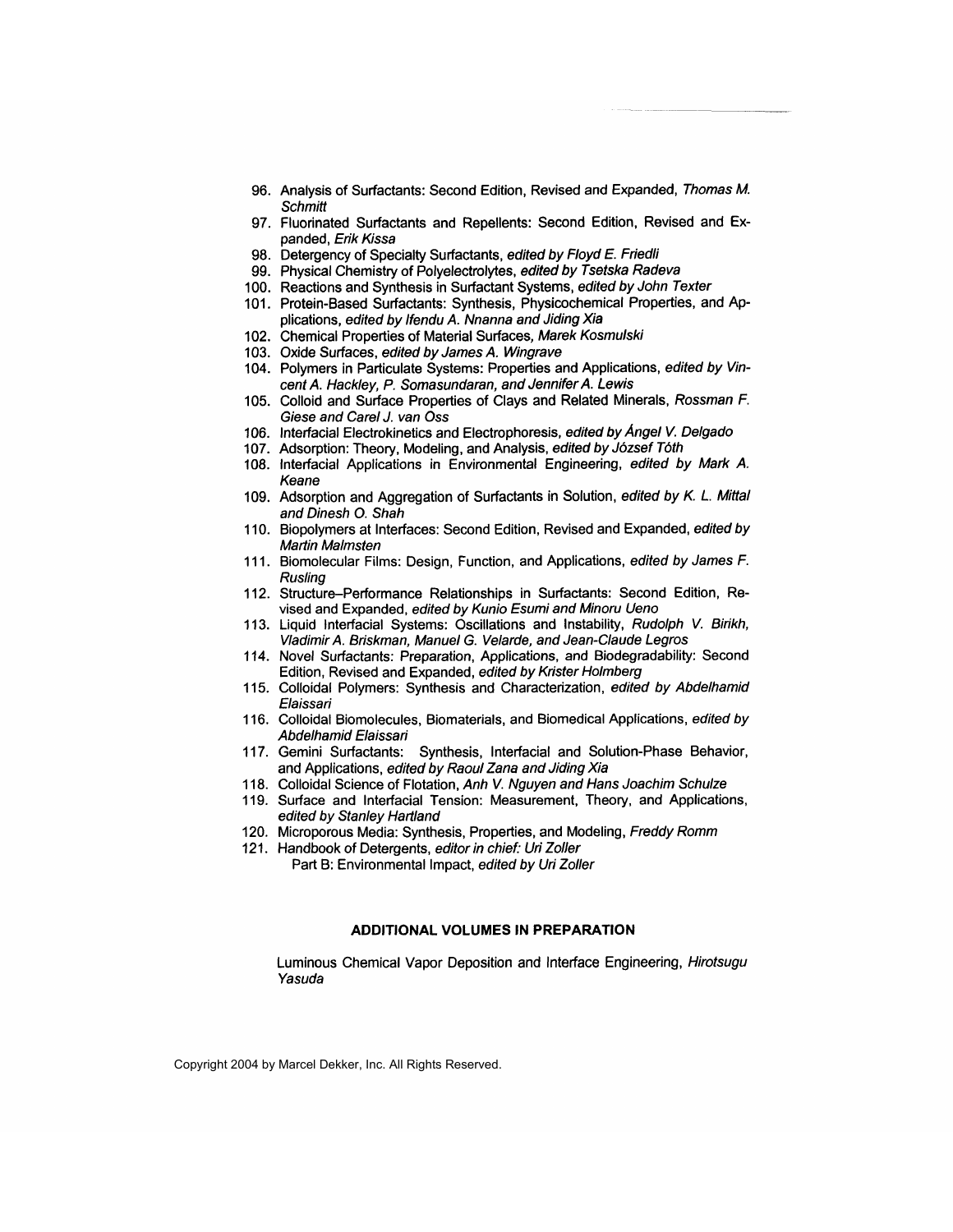- <span id="page-6-0"></span>96. Analysis of Surfactants: Second Edition, Revised and Expanded, *Thomas M. Schmitt*
- 97. Fluorinated Surfactants and Repellents: Second Edition, Revised and Expanded, *Erik Kissa*
- 98. Detergency of Specialty Surfactants, *edited by Floyd E. Friedli*
- 99. Physical Chemistry of Polyelectrolytes, *edited by Tsetska Radeva*
- 100. Reactions and Synthesis in Surfactant Systems, *edited by John Texter*
- 101. Protein-Based Surfactants: Synthesis, Physicochemical Properties, and Applications, *edited by lfendu A. Nnanna and Jiding Xia*
- 102. Chemical Properties of Material Surfaces, *Marek Kosmulski*
- 103. Oxide Surfaces, *edited by James A. Wingrave*
- 104. Polymers in Particulate Systems: Properties and Applications, *edited by Vincent A. Hackley, P. Somasundaran, and Jennifer A. Lewis*
- 105. Colloid and Surface Properties of Clays and Related Minerals, *Rossman* F. *Giese and Care1 J. van* Oss
- 106. Interfacial Electrokinetics and Electrophoresis, *edited by Angel V. Delgado*
- 107. Adsorption: Theory, Modeling, and Analysis, *edited by Jozsef Tbth*
- 108. Interfacial Applications in Environmental Engineering, *edited by Mark A. Keane*
- 109. Adsorption and Aggregation of Surfactants in Solution, *edited by K. L. Mittal and Dinesh 0. Shah*
- 110. Biopolymers at Interfaces: Second Edition, Revised and Expanded, *edited by Martin Malrnsten*
- 11 1. Biomolecular Films: Design, Function, and Applications, *edited* by *James F. Rusling*
- 1 12. Structure-Performance Relationships in Surfactants: Second Edition, Revised and Expanded, *edited* by *Kunio Esumi and Minoru Ueno*
- 1 13. Liquid Interfacial Systems: Oscillations and Instability, *Rudolph V. Birikh, Vladimir A. Briskman, Manuel G. Velarde, and Jean-Claude Legros*
- 1 14. Novel Surfactants: Preparation, Applications, and Biodegradability: Second Edition, Revised and Expanded, *edited by Krister Holmberg*
- 1 15. Colloidal Polymers: Synthesis and Characterization, *edited* by *Abdelhamid Elaissari*
- 1 16. Colloidal Biomolecules, Biomaterials, and Biomedical Applications, *edited* by *Abdelhamid Elaissari*
- 1 17. Gemini Surfactants: Synthesis, Interfacial and Solution-Phase Behavior, and Applications, *edited* by *Raoul Zana and Jiding Xia*
- 1 18. Colloidal Science of Flotation, *Anh V. Nguyen and Hans Joachim Schulze*
- 119. Surface and Interfacial Tension: Measurement, Theory, and Applications, *edited by Stanley Hartland*
- 120. Microporous Media: Synthesis, Properties, and Modeling, *Freddy Romm*
- 121. Handbook *of* Detergents, *editor in chief: Uri Zoller*  Part B: Environmental Impact, *edited by Uri Zoller*

#### **ADDITIONAL VOLUMES IN PREPARATION**

Luminous Chemical Vapor Deposition and Interface Engineering, *Hirotsugu Yasuda*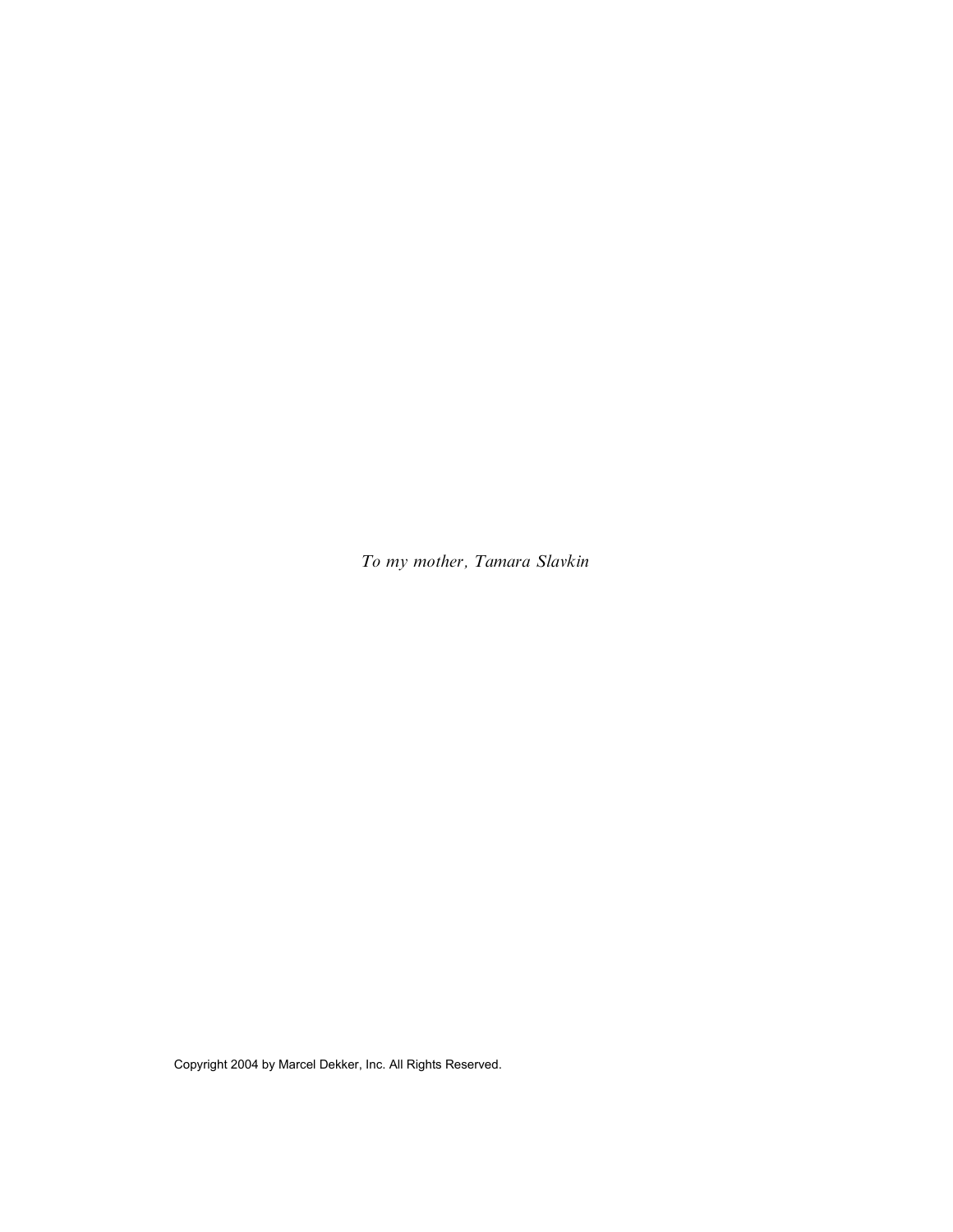To my mother, Tamara Slavkin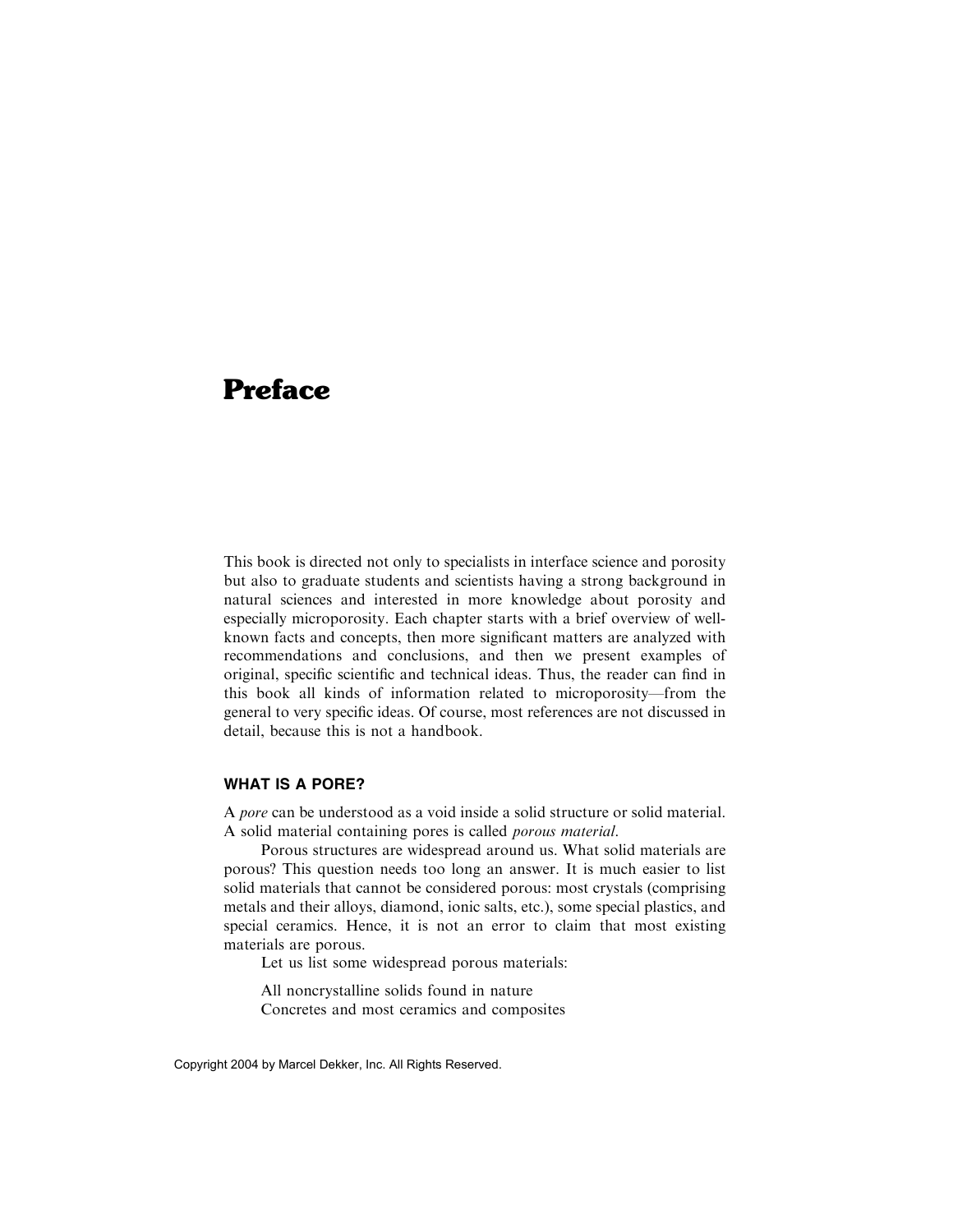### <span id="page-8-0"></span>**Preface**

This book is directed not only to specialists in interface science and porosity but also to graduate students and scientists having a strong background in natural sciences and interested in more knowledge about porosity and especially microporosity. Each chapter starts with a brief overview of wellknown facts and concepts, then more significant matters are analyzed with recommendations and conclusions, and then we present examples of original, specific scientific and technical ideas. Thus, the reader can find in this book all kinds of information related to microporosity—from the general to very specific ideas. Of course, most references are not discussed in detail, because this is not a handbook.

#### WHAT IS A PORE?

A pore can be understood as a void inside a solid structure or solid material. A solid material containing pores is called porous material.

Porous structures are widespread around us. What solid materials are porous? This question needs too long an answer. It is much easier to list solid materials that cannot be considered porous: most crystals (comprising metals and their alloys, diamond, ionic salts, etc.), some special plastics, and special ceramics. Hence, it is not an error to claim that most existing materials are porous.

Let us list some widespread porous materials:

All noncrystalline solids found in nature Concretes and most ceramics and composites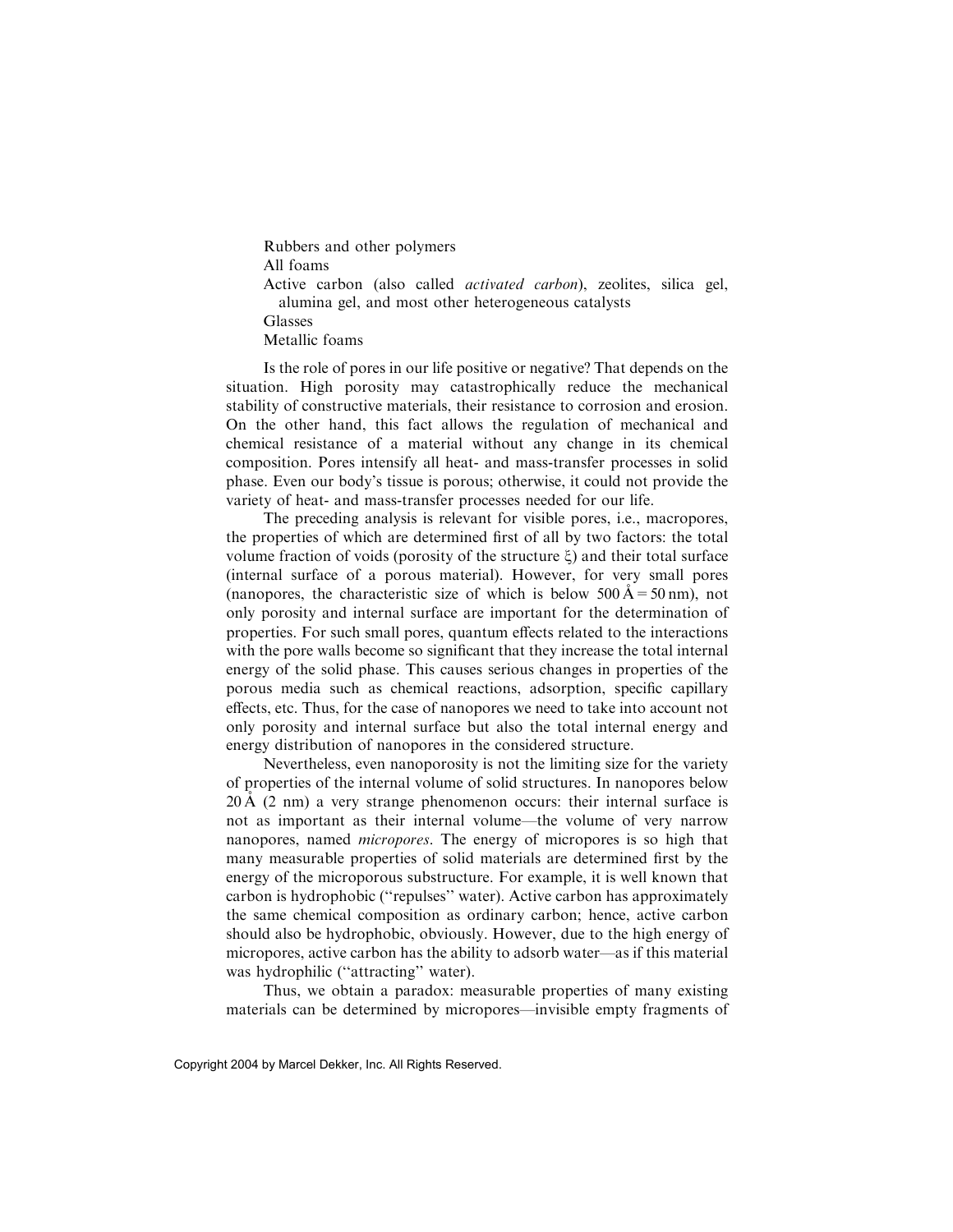<span id="page-9-0"></span>Rubbers and other polymers All foams Active carbon (also called *activated carbon*), zeolites, silica gel, alumina gel, and most other heterogeneous catalysts Glasses Metallic foams

Is the role of pores in our life positive or negative? That depends on the situation. High porosity may catastrophically reduce the mechanical stability of constructive materials, their resistance to corrosion and erosion. On the other hand, this fact allows the regulation of mechanical and chemical resistance of a material without any change in its chemical composition. Pores intensify all heat- and mass-transfer processes in solid phase. Even our body's tissue is porous; otherwise, it could not provide the variety of heat- and mass-transfer processes needed for our life.

The preceding analysis is relevant for visible pores, i.e., macropores, the properties of which are determined first of all by two factors: the total volume fraction of voids (porosity of the structure  $\xi$ ) and their total surface (internal surface of a porous material). However, for very small pores (nanopores, the characteristic size of which is below  $500 \text{ Å} = 50 \text{ nm}$ ), not only porosity and internal surface are important for the determination of properties. For such small pores, quantum effects related to the interactions with the pore walls become so significant that they increase the total internal energy of the solid phase. This causes serious changes in properties of the porous media such as chemical reactions, adsorption, specific capillary effects, etc. Thus, for the case of nanopores we need to take into account not only porosity and internal surface but also the total internal energy and energy distribution of nanopores in the considered structure.

Nevertheless, even nanoporosity is not the limiting size for the variety of properties of the internal volume of solid structures. In nanopores below  $20 \text{ Å}$  (2 nm) a very strange phenomenon occurs: their internal surface is not as important as their internal volume—the volume of very narrow nanopores, named micropores. The energy of micropores is so high that many measurable properties of solid materials are determined first by the energy of the microporous substructure. For example, it is well known that carbon is hydrophobic (''repulses'' water). Active carbon has approximately the same chemical composition as ordinary carbon; hence, active carbon should also be hydrophobic, obviously. However, due to the high energy of micropores, active carbon has the ability to adsorb water—as if this material was hydrophilic ("attracting" water).

Thus, we obtain a paradox: measurable properties of many existing materials can be determined by micropores—invisible empty fragments of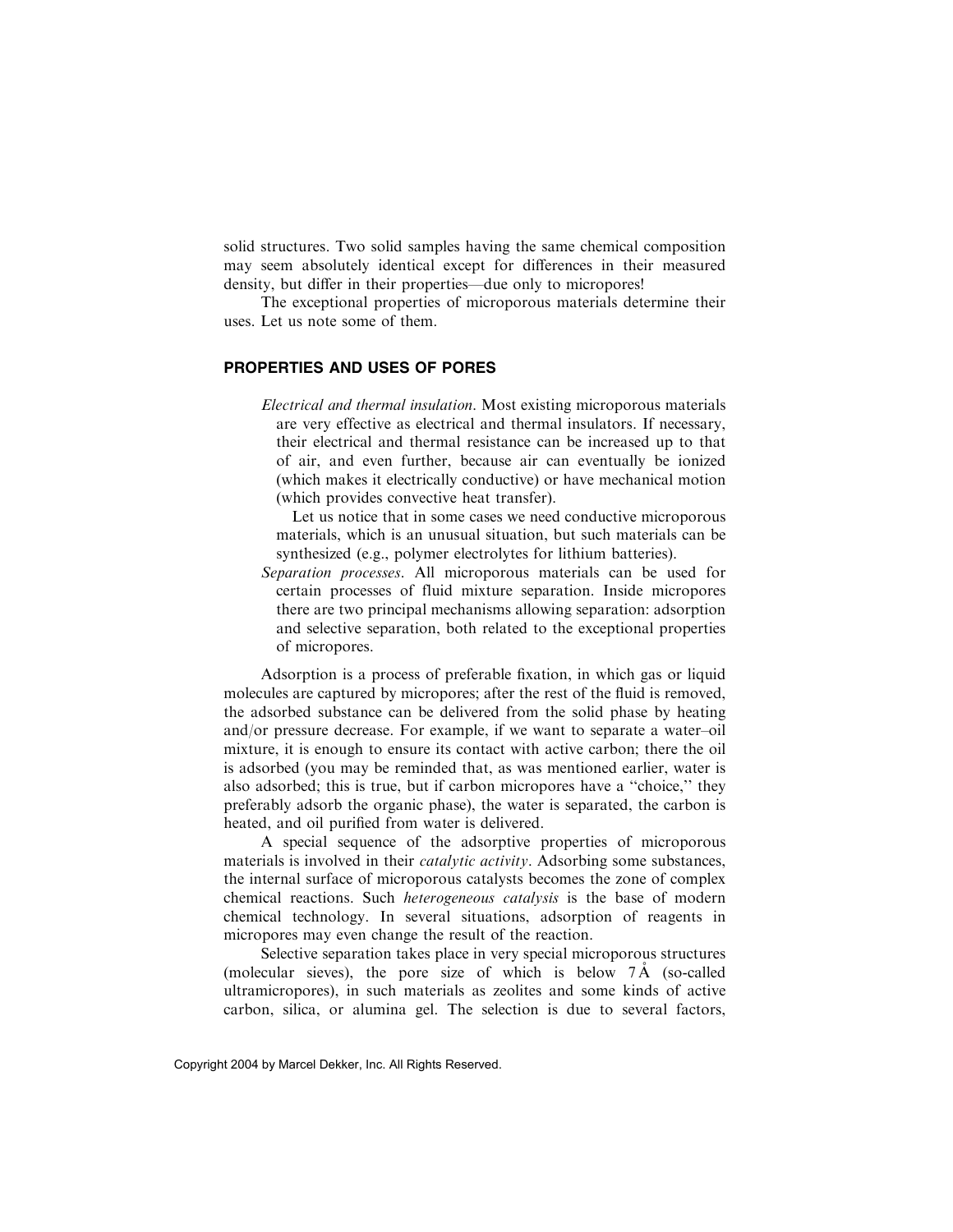solid structures. Two solid samples having the same chemical composition may seem absolutely identical except for differences in their measured density, but differ in their properties—due only to micropores!

The exceptional properties of microporous materials determine their uses. Let us note some of them.

#### PROPERTIES AND USES OF PORES

Electrical and thermal insulation. Most existing microporous materials are very effective as electrical and thermal insulators. If necessary, their electrical and thermal resistance can be increased up to that of air, and even further, because air can eventually be ionized (which makes it electrically conductive) or have mechanical motion (which provides convective heat transfer).

Let us notice that in some cases we need conductive microporous materials, which is an unusual situation, but such materials can be synthesized (e.g., polymer electrolytes for lithium batteries).

Separation processes. All microporous materials can be used for certain processes of fluid mixture separation. Inside micropores there are two principal mechanisms allowing separation: adsorption and selective separation, both related to the exceptional properties of micropores.

Adsorption is a process of preferable fixation, in which gas or liquid molecules are captured by micropores; after the rest of the fluid is removed, the adsorbed substance can be delivered from the solid phase by heating and/or pressure decrease. For example, if we want to separate a water–oil mixture, it is enough to ensure its contact with active carbon; there the oil is adsorbed (you may be reminded that, as was mentioned earlier, water is also adsorbed; this is true, but if carbon micropores have a ''choice,'' they preferably adsorb the organic phase), the water is separated, the carbon is heated, and oil purified from water is delivered.

A special sequence of the adsorptive properties of microporous materials is involved in their *catalytic activity*. Adsorbing some substances, the internal surface of microporous catalysts becomes the zone of complex chemical reactions. Such heterogeneous catalysis is the base of modern chemical technology. In several situations, adsorption of reagents in micropores may even change the result of the reaction.

Selective separation takes place in very special microporous structures (molecular sieves), the pore size of which is below  $7\text{\AA}$  (so-called ultramicropores), in such materials as zeolites and some kinds of active carbon, silica, or alumina gel. The selection is due to several factors,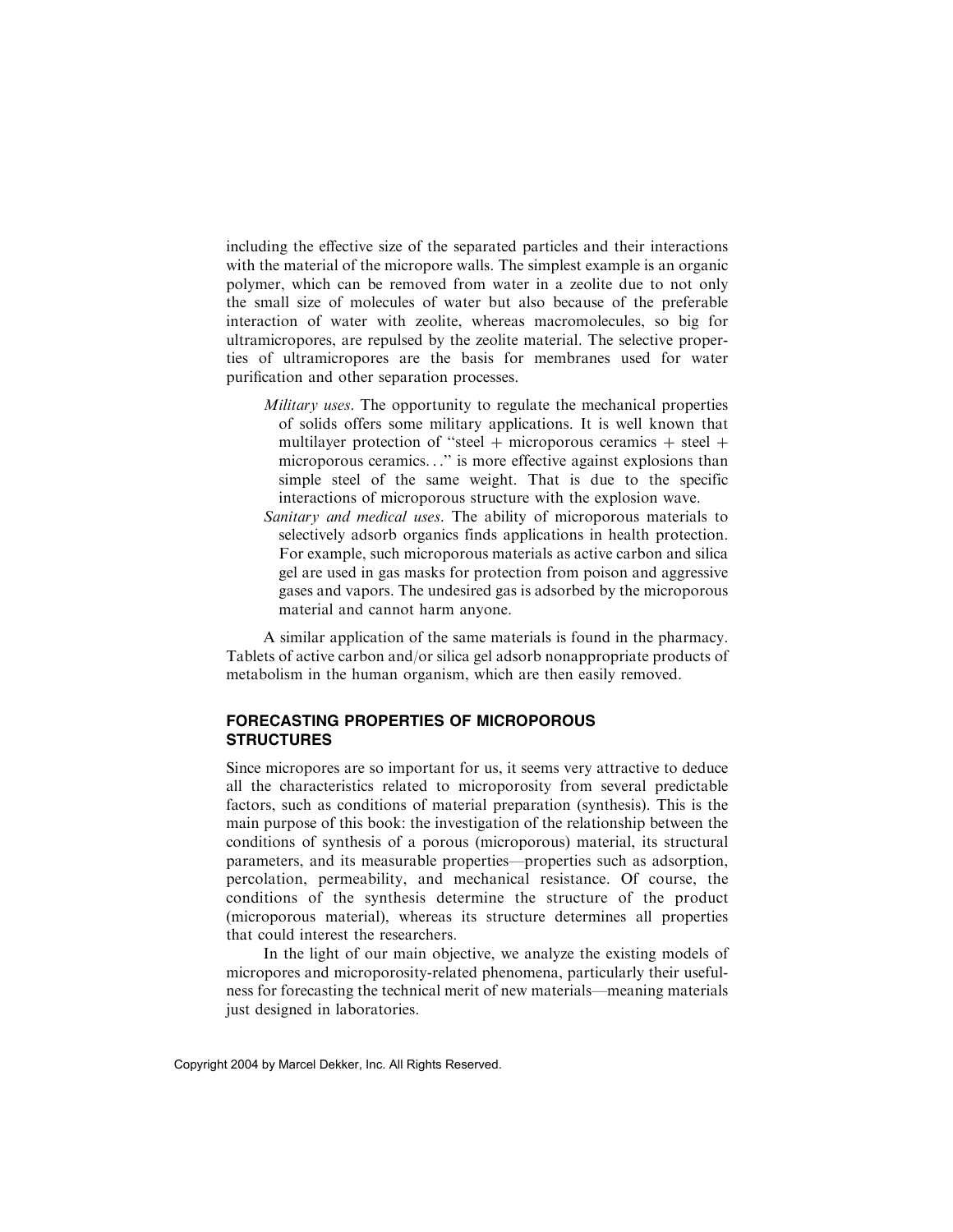including the effective size of the separated particles and their interactions with the material of the micropore walls. The simplest example is an organic polymer, which can be removed from water in a zeolite due to not only the small size of molecules of water but also because of the preferable interaction of water with zeolite, whereas macromolecules, so big for ultramicropores, are repulsed by the zeolite material. The selective properties of ultramicropores are the basis for membranes used for water purification and other separation processes.

- Military uses. The opportunity to regulate the mechanical properties of solids offers some military applications. It is well known that multilayer protection of "steel  $+$  microporous ceramics  $+$  steel  $+$ microporous ceramics...'' is more effective against explosions than simple steel of the same weight. That is due to the specific interactions of microporous structure with the explosion wave.
- Sanitary and medical uses. The ability of microporous materials to selectively adsorb organics finds applications in health protection. For example, such microporous materials as active carbon and silica gel are used in gas masks for protection from poison and aggressive gases and vapors. The undesired gas is adsorbed by the microporous material and cannot harm anyone.

A similar application of the same materials is found in the pharmacy. Tablets of active carbon and/or silica gel adsorb nonappropriate products of metabolism in the human organism, which are then easily removed.

#### FORECASTING PROPERTIES OF MICROPOROUS **STRUCTURES**

Since micropores are so important for us, it seems very attractive to deduce all the characteristics related to microporosity from several predictable factors, such as conditions of material preparation (synthesis). This is the main purpose of this book: the investigation of the relationship between the conditions of synthesis of a porous (microporous) material, its structural parameters, and its measurable properties—properties such as adsorption, percolation, permeability, and mechanical resistance. Of course, the conditions of the synthesis determine the structure of the product (microporous material), whereas its structure determines all properties that could interest the researchers.

In the light of our main objective, we analyze the existing models of micropores and microporosity-related phenomena, particularly their usefulness for forecasting the technical merit of new materials—meaning materials just designed in laboratories.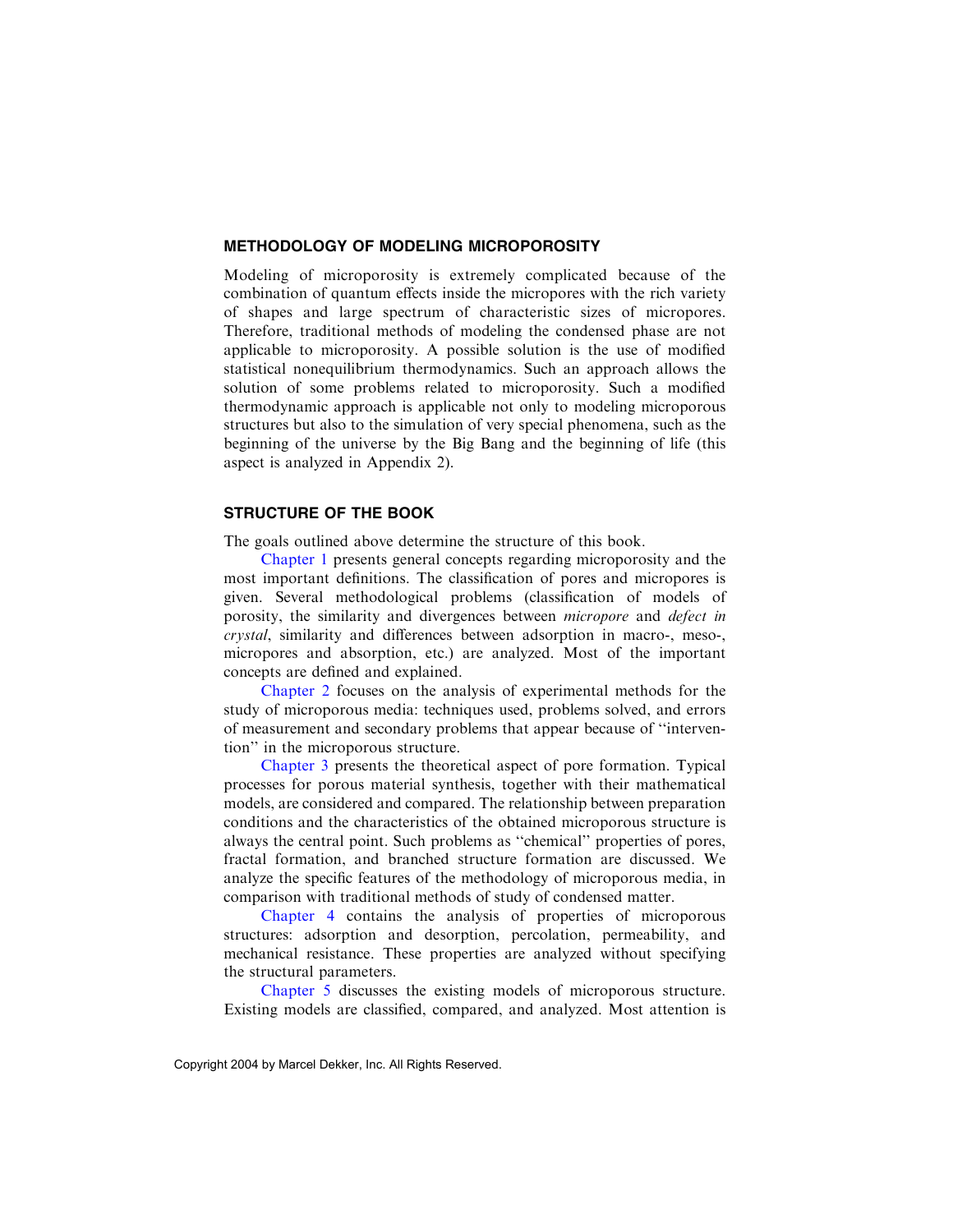#### <span id="page-12-0"></span>METHODOLOGY OF MODELING MICROPOROSITY

Modeling of microporosity is extremely complicated because of the combination of quantum effects inside the micropores with the rich variety of shapes and large spectrum of characteristic sizes of micropores. Therefore, traditional methods of modeling the condensed phase are not applicable to microporosity. A possible solution is the use of modified statistical nonequilibrium thermodynamics. Such an approach allows the solution of some problems related to microporosity. Such a modified thermodynamic approach is applicable not only to modeling microporous structures but also to the simulation of very special phenomena, such as the beginning of the universe by the Big Bang and the beginning of life (this aspect is analyzed in Appendix 2).

#### STRUCTURE OF THE BOOK

The goals outlined above determine the structure of this book.

[Chapter 1](#page-0-0) presents general concepts regarding microporosity and the most important definitions. The classification of pores and micropores is given. Several methodological problems (classification of models of porosity, the similarity and divergences between micropore and defect in crystal, similarity and differences between adsorption in macro-, meso-, micropores and absorption, etc.) are analyzed. Most of the important concepts are defined and explained.

[Chapter 2](#page-0-0) focuses on the analysis of experimental methods for the study of microporous media: techniques used, problems solved, and errors of measurement and secondary problems that appear because of ''intervention'' in the microporous structure.

[Chapter 3](#page-0-0) presents the theoretical aspect of pore formation. Typical processes for porous material synthesis, together with their mathematical models, are considered and compared. The relationship between preparation conditions and the characteristics of the obtained microporous structure is always the central point. Such problems as ''chemical'' properties of pores, fractal formation, and branched structure formation are discussed. We analyze the specific features of the methodology of microporous media, in comparison with traditional methods of study of condensed matter.

[Chapter 4](#page-0-0) contains the analysis of properties of microporous structures: adsorption and desorption, percolation, permeability, and mechanical resistance. These properties are analyzed without specifying the structural parameters.

[Chapter 5](#page-0-0) discusses the existing models of microporous structure. Existing models are classified, compared, and analyzed. Most attention is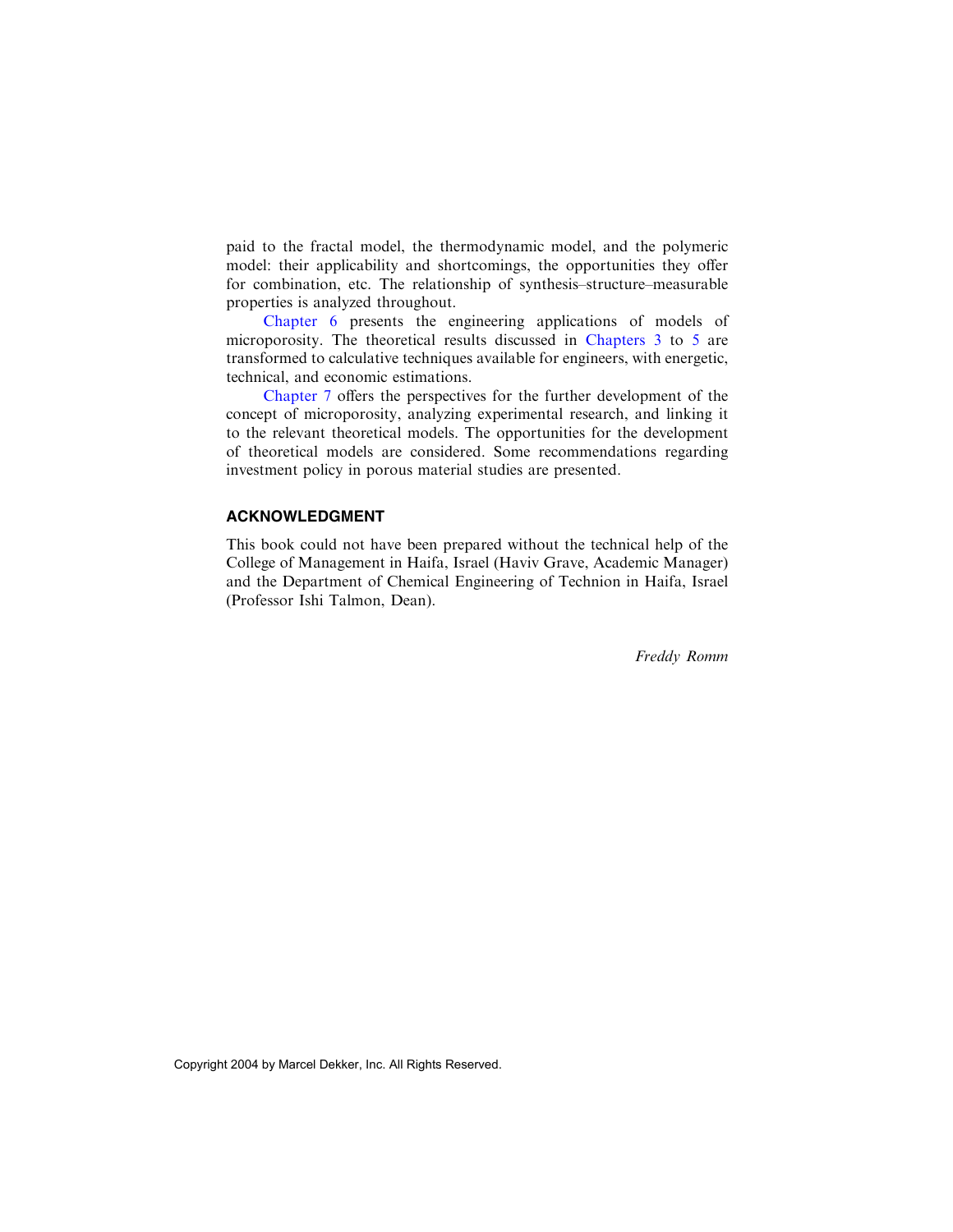paid to the fractal model, the thermodynamic model, and the polymeric model: their applicability and shortcomings, the opportunities they offer for combination, etc. The relationship of synthesis–structure–measurable properties is analyzed throughout.

[Chapter 6](#page-0-0) presents the engineering applications of models of microporosity. The theoretical results discussed in [Chapters 3](#page-0-0) to [5](#page-0-0) are transformed to calculative techniques available for engineers, with energetic, technical, and economic estimations.

[Chapter 7](#page-0-0) offers the perspectives for the further development of the concept of microporosity, analyzing experimental research, and linking it to the relevant theoretical models. The opportunities for the development of theoretical models are considered. Some recommendations regarding investment policy in porous material studies are presented.

#### ACKNOWLEDGMENT

This book could not have been prepared without the technical help of the College of Management in Haifa, Israel (Haviv Grave, Academic Manager) and the Department of Chemical Engineering of Technion in Haifa, Israel (Professor Ishi Talmon, Dean).

Freddy Romm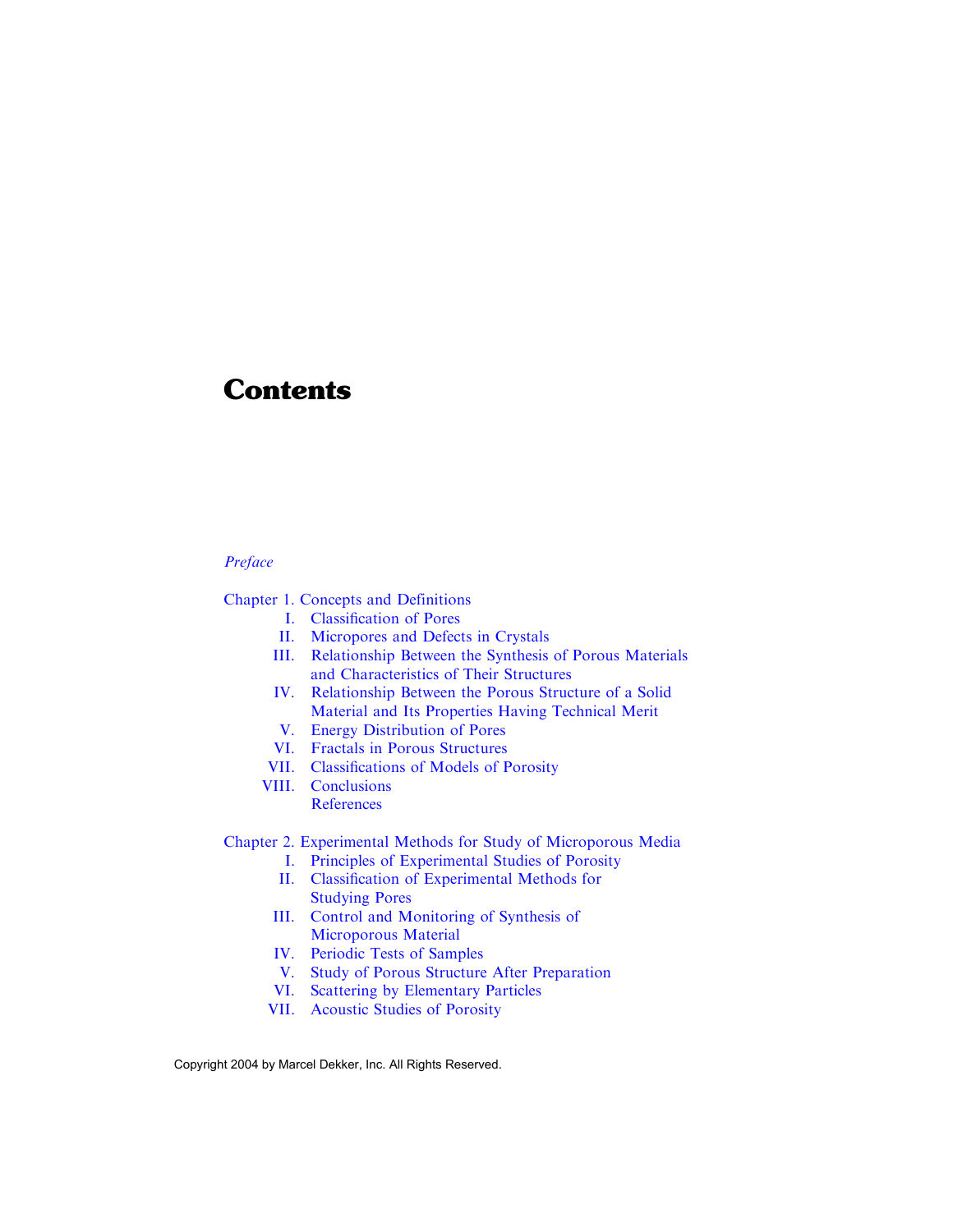## **Contents**

#### [Preface](#page-8-0)

Chapter 1. Concepts and Definitions

- [I. Classification of Pores](#page-0-0)
- [II. Micropores and Defects in Crystals](#page-6-0)
- [III. Relationship Between the Synthesis of Porous Materials](#page-9-0) and Characteristics of Their Structures
- [IV. Relationship Between the Porous Structure of a Solid](#page-21-0) Material and Its Properties Having Technical Merit
- [V. Energy Distribution of Pores](#page-27-0)
- [VI. Fractals in Porous Structures](#page-30-0)
- [VII. Classifications of Models of Porosity](#page-34-0)
- [VIII. Conclusions](#page-36-0) [References](#page-37-0)

#### Chapter 2. Experimental Methods for Study of Microporous Media

- [I. Principles of Experimental Studies of Porosity](#page-0-0)
- [II. Classification of Experimental Methods for](#page-6-0) Studying Pores
- [III. Control and Monitoring of Synthesis of](#page-9-0) Microporous Material
- [IV. Periodic Tests of Samples](#page-12-0)
- [V. Study of Porous Structure After Preparation](#page-15-0)
- [VI. Scattering by Elementary Particles](#page-20-0)
- [VII. Acoustic Studies of Porosity](#page-25-0)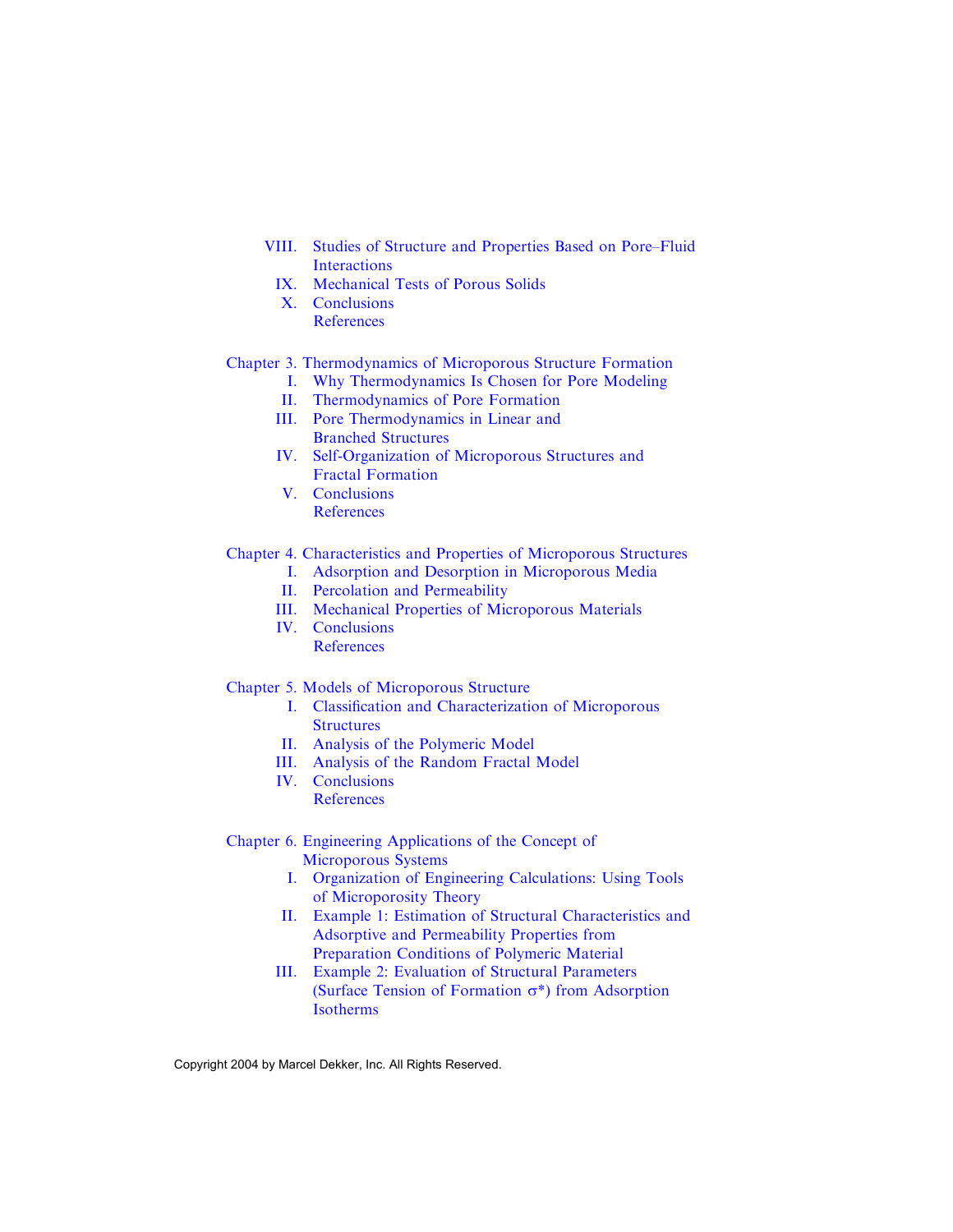- <span id="page-15-0"></span>[VIII. Studies of Structure and Properties Based on Pore–Fluid](#page-30-0) Interactions
	- [IX. Mechanical Tests of Porous Solids](#page-45-0)
	- [X. Conclusions](#page-46-0) [References](#page-47-0)

#### Chapter 3. Thermodynamics of Microporous Structure Formation

- [I. Why Thermodynamics Is Chosen for Pore Modeling](#page-0-0)
- [II. Thermodynamics of Pore Formation](#page-20-0)
- [III. Pore Thermodynamics in Linear and](#page-44-0) Branched Structures
- [IV. Self-Organization of Microporous Structures and](#page-82-0) Fractal Formation
	- [V. Conclusions](#page-100-0) [References](#page-102-0)

#### Chapter 4. Characteristics and Properties of Microporous Structures

- [I. Adsorption and Desorption in Microporous Media](#page-0-0)
- [II. Percolation and Permeability](#page-26-0)
- [III. Mechanical Properties of Microporous Materials](#page-50-0)
- [IV. Conclusions](#page-60-0) [References](#page-61-0)

#### Chapter 5. Models of Microporous Structure

- [I. Classification and Characterization of Microporous](#page-0-0) **Structures**
- [II. Analysis of the Polymeric Model](#page-18-0)
- [III. Analysis of the Random Fractal Model](#page-24-0)
- [IV. Conclusions](#page-31-0) [References](#page-32-0)

#### Chapter 6. Engineering Applications of the Concept of Microporous Systems

- [I. Organization of Engineering Calculations: Using Tools](#page-0-0) of Microporosity Theory
- [II. Example 1: Estimation of Structural Characteristics and](#page-5-0) Adsorptive and Permeability Properties from Preparation Conditions of Polymeric Material
- [III. Example 2: Evaluation of Structural Parameters](#page-26-0) (Surface Tension of Formation  $\sigma^*$ ) from Adsorption Isotherms